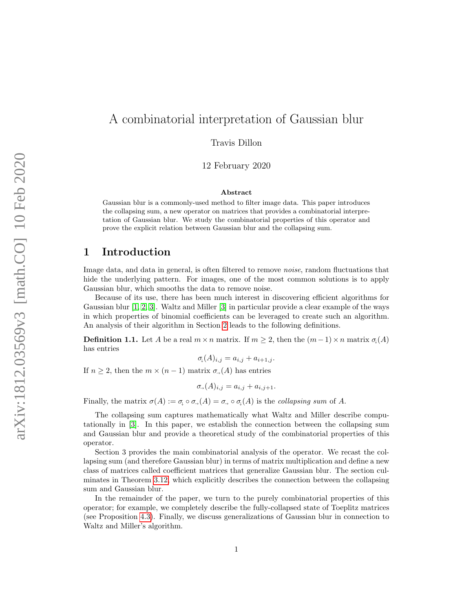# A combinatorial interpretation of Gaussian blur

Travis Dillon

12 February 2020

### Abstract

Gaussian blur is a commonly-used method to filter image data. This paper introduces the collapsing sum, a new operator on matrices that provides a combinatorial interpretation of Gaussian blur. We study the combinatorial properties of this operator and prove the explicit relation between Gaussian blur and the collapsing sum.

## 1 Introduction

Image data, and data in general, is often filtered to remove *noise*, random fluctuations that hide the underlying pattern. For images, one of the most common solutions is to apply Gaussian blur, which smooths the data to remove noise.

Because of its use, there has been much interest in discovering efficient algorithms for Gaussian blur [\[1,](#page-10-0) [2,](#page-10-1) [3\]](#page-10-2). Waltz and Miller [\[3\]](#page-10-2) in particular provide a clear example of the ways in which properties of binomial coefficients can be leveraged to create such an algorithm. An analysis of their algorithm in Section [2](#page-1-0) leads to the following definitions.

<span id="page-0-0"></span>**Definition 1.1.** Let A be a real  $m \times n$  matrix. If  $m \geq 2$ , then the  $(m-1) \times n$  matrix  $\sigma_i(A)$ has entries

$$
\sigma_{\downarrow}(A)_{i,j} = a_{i,j} + a_{i+1,j}.
$$

If  $n \geq 2$ , then the  $m \times (n-1)$  matrix  $\sigma_{\rightarrow}(A)$  has entries

$$
\sigma_{\rightarrow}(A)_{i,j} = a_{i,j} + a_{i,j+1}.
$$

Finally, the matrix  $\sigma(A) := \sigma_{\downarrow} \circ \sigma_{\rightarrow}(A) = \sigma_{\rightarrow} \circ \sigma_{\downarrow}(A)$  is the *collapsing sum* of A.

The collapsing sum captures mathematically what Waltz and Miller describe computationally in [\[3\]](#page-10-2). In this paper, we establish the connection between the collapsing sum and Gaussian blur and provide a theoretical study of the combinatorial properties of this operator.

Section 3 provides the main combinatorial analysis of the operator. We recast the collapsing sum (and therefore Gaussian blur) in terms of matrix multiplication and define a new class of matrices called coefficient matrices that generalize Gaussian blur. The section culminates in Theorem [3.12,](#page-6-0) which explicitly describes the connection between the collapsing sum and Gaussian blur.

In the remainder of the paper, we turn to the purely combinatorial properties of this operator; for example, we completely describe the fully-collapsed state of Toeplitz matrices (see Proposition [4.3\)](#page-7-0). Finally, we discuss generalizations of Gaussian blur in connection to Waltz and Miller's algorithm.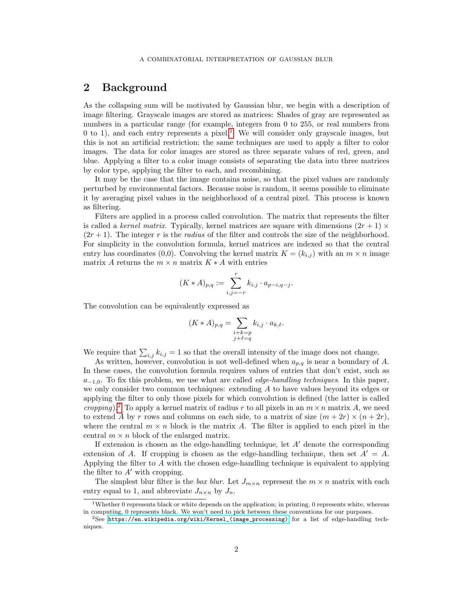## <span id="page-1-0"></span>2 Background

As the collapsing sum will be motivated by Gaussian blur, we begin with a description of image filtering. Grayscale images are stored as matrices: Shades of gray are represented as numbers in a particular range (for example, integers from 0 to 255, or real numbers from 0 to [1](#page-1-1)), and each entry represents a pixel.<sup>1</sup> We will consider only grayscale images, but this is not an artificial restriction; the same techniques are used to apply a filter to color images. The data for color images are stored as three separate values of red, green, and blue. Applying a filter to a color image consists of separating the data into three matrices by color type, applying the filter to each, and recombining.

It may be the case that the image contains noise, so that the pixel values are randomly perturbed by environmental factors. Because noise is random, it seems possible to eliminate it by averaging pixel values in the neighborhood of a central pixel. This process is known as filtering.

Filters are applied in a process called convolution. The matrix that represents the filter is called a kernel matrix. Typically, kernel matrices are square with dimensions  $(2r + 1) \times$  $(2r+1)$ . The integer r is the radius of the filter and controls the size of the neighborhood. For simplicity in the convolution formula, kernel matrices are indexed so that the central entry has coordinates (0,0). Convolving the kernel matrix  $K = (k_{i,j})$  with an  $m \times n$  image matrix A returns the  $m \times n$  matrix  $K \times A$  with entries

$$
(K * A)_{p,q} := \sum_{i,j=-r}^{r} k_{i,j} \cdot a_{p-i,q-j}.
$$

The convolution can be equivalently expressed as

$$
(K*A)_{p,q} = \sum_{\substack{i+k=p\\j+\ell=q}} k_{i,j} \cdot a_{k,\ell}.
$$

We require that  $\sum_{i,j} k_{i,j} = 1$  so that the overall intensity of the image does not change.

As written, however, convolution is not well-defined when  $a_{p,q}$  is near a boundary of A. In these cases, the convolution formula requires values of entries that don't exist, such as  $a_{-1,0}$ . To fix this problem, we use what are called *edge-handling techniques*. In this paper, we only consider two common techniques: extending A to have values beyond its edges or applying the filter to only those pixels for which convolution is defined (the latter is called cropping).<sup>[2](#page-1-2)</sup> To apply a kernel matrix of radius r to all pixels in an  $m \times n$  matrix A, we need to extend A by r rows and columns on each side, to a matrix of size  $(m + 2r) \times (n + 2r)$ , where the central  $m \times n$  block is the matrix A. The filter is applied to each pixel in the central  $m \times n$  block of the enlarged matrix.

If extension is chosen as the edge-handling technique, let  $A'$  denote the corresponding extension of A. If cropping is chosen as the edge-handling technique, then set  $A' = A$ . Applying the filter to A with the chosen edge-handling technique is equivalent to applying the filter to  $A'$  with cropping.

The simplest blur filter is the box blur. Let  $J_{m \times n}$  represent the  $m \times n$  matrix with each entry equal to 1, and abbreviate  $J_{n\times n}$  by  $J_n$ .

<span id="page-1-1"></span><sup>&</sup>lt;sup>1</sup>Whether 0 represents black or white depends on the application; in printing, 0 represents white, whereas in computing, 0 represents black. We won't need to pick between these conventions for our purposes.

<span id="page-1-2"></span> $2$ See [https://en.wikipedia.org/wiki/Kernel\\_\(image\\_processing\)](https://en.wikipedia.org/wiki/Kernel_(image_processing)) for a list of edge-handling techniques.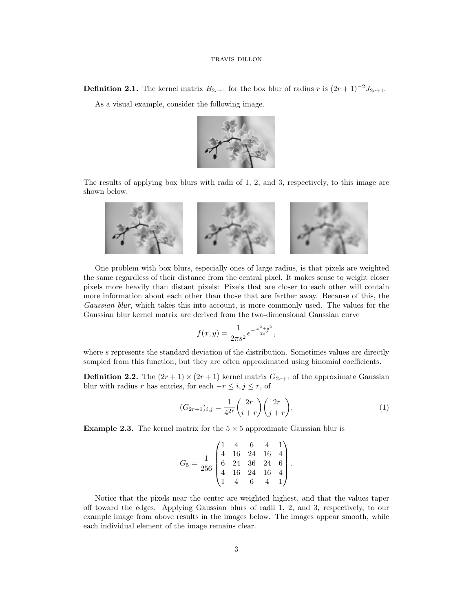**Definition 2.1.** The kernel matrix  $B_{2r+1}$  for the box blur of radius r is  $(2r+1)^{-2}J_{2r+1}$ .

As a visual example, consider the following image.



The results of applying box blurs with radii of 1, 2, and 3, respectively, to this image are shown below.



One problem with box blurs, especially ones of large radius, is that pixels are weighted the same regardless of their distance from the central pixel. It makes sense to weight closer pixels more heavily than distant pixels: Pixels that are closer to each other will contain more information about each other than those that are farther away. Because of this, the Gaussian blur, which takes this into account, is more commonly used. The values for the Gaussian blur kernel matrix are derived from the two-dimensional Gaussian curve

$$
f(x,y) = \frac{1}{2\pi s^2} e^{-\frac{x^2 + y^2}{2s^2}},
$$

where s represents the standard deviation of the distribution. Sometimes values are directly sampled from this function, but they are often approximated using binomial coefficients.

**Definition 2.2.** The  $(2r + 1) \times (2r + 1)$  kernel matrix  $G_{2r+1}$  of the approximate Gaussian blur with radius r has entries, for each  $-r \leq i, j \leq r$ , of

<span id="page-2-0"></span>
$$
(G_{2r+1})_{i,j} = \frac{1}{4^{2r}} \binom{2r}{i+r} \binom{2r}{j+r}.
$$
 (1)

**Example 2.3.** The kernel matrix for the  $5 \times 5$  approximate Gaussian blur is

$$
G_5 = \frac{1}{256} \begin{pmatrix} 1 & 4 & 6 & 4 & 1 \\ 4 & 16 & 24 & 16 & 4 \\ 6 & 24 & 36 & 24 & 6 \\ 4 & 16 & 24 & 16 & 4 \\ 1 & 4 & 6 & 4 & 1 \end{pmatrix}.
$$

Notice that the pixels near the center are weighted highest, and that the values taper off toward the edges. Applying Gaussian blurs of radii 1, 2, and 3, respectively, to our example image from above results in the images below. The images appear smooth, while each individual element of the image remains clear.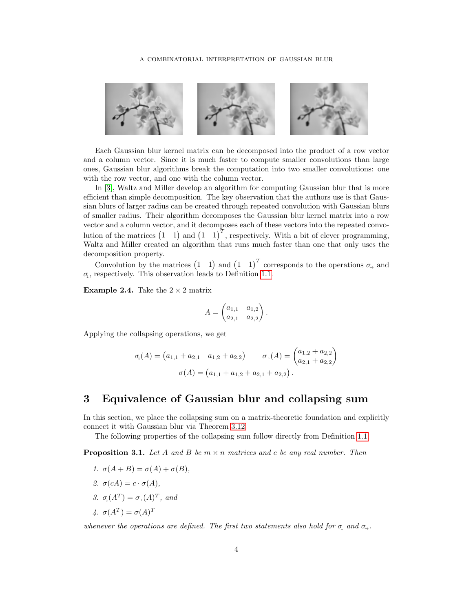

Each Gaussian blur kernel matrix can be decomposed into the product of a row vector and a column vector. Since it is much faster to compute smaller convolutions than large ones, Gaussian blur algorithms break the computation into two smaller convolutions: one with the row vector, and one with the column vector.

In [\[3\]](#page-10-2), Waltz and Miller develop an algorithm for computing Gaussian blur that is more efficient than simple decomposition. The key observation that the authors use is that Gaussian blurs of larger radius can be created through repeated convolution with Gaussian blurs of smaller radius. Their algorithm decomposes the Gaussian blur kernel matrix into a row vector and a column vector, and it decomposes each of these vectors into the repeated convolution of the matrices  $(1 \t1)$  and  $(1 \t1)^T$ , respectively. With a bit of clever programming, Waltz and Miller created an algorithm that runs much faster than one that only uses the decomposition property.

Convolution by the matrices  $(1 \t1)$  and  $(1 \t1)^T$  corresponds to the operations  $\sigma_{\rightarrow}$  and  $\sigma_{\downarrow}$ , respectively. This observation leads to Definition [1.1.](#page-0-0)

**Example 2.4.** Take the  $2 \times 2$  matrix

$$
A = \begin{pmatrix} a_{1,1} & a_{1,2} \\ a_{2,1} & a_{2,2} \end{pmatrix}.
$$

Applying the collapsing operations, we get

$$
\sigma_{\downarrow}(A) = (a_{1,1} + a_{2,1} \quad a_{1,2} + a_{2,2}) \qquad \sigma_{\rightarrow}(A) = \begin{pmatrix} a_{1,2} + a_{2,2} \\ a_{2,1} + a_{2,2} \end{pmatrix}
$$

$$
\sigma(A) = (a_{1,1} + a_{1,2} + a_{2,1} + a_{2,2}).
$$

## 3 Equivalence of Gaussian blur and collapsing sum

In this section, we place the collapsing sum on a matrix-theoretic foundation and explicitly connect it with Gaussian blur via Theorem [3.12.](#page-6-0)

The following properties of the collapsing sum follow directly from Definition [1.1.](#page-0-0)

<span id="page-3-0"></span>**Proposition 3.1.** Let A and B be  $m \times n$  matrices and c be any real number. Then

- 1.  $\sigma(A+B) = \sigma(A) + \sigma(B)$ , 2.  $\sigma(cA) = c \cdot \sigma(A)$ ,
- 3.  $\sigma_{\psi}(A^T) = \sigma_{\psi}(A)^T$ , and
- 4.  $\sigma(A^T) = \sigma(A)^T$

whenever the operations are defined. The first two statements also hold for  $\sigma_{\downarrow}$  and  $\sigma_{\rightarrow}$ .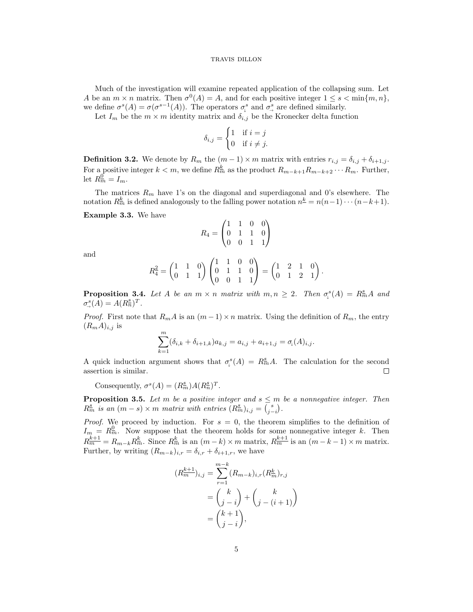Much of the investigation will examine repeated application of the collapsing sum. Let A be an  $m \times n$  matrix. Then  $\sigma^{0}(A) = A$ , and for each positive integer  $1 \leq s < \min\{m, n\}$ , we define  $\sigma^s(A) = \sigma(\sigma^{s-1}(A))$ . The operators  $\sigma^s_\downarrow$  and  $\sigma^s_\rightarrow$  are defined similarly.

Let  $I_m$  be the  $m \times m$  identity matrix and  $\delta_{i,j}$  be the Kronecker delta function

$$
\delta_{i,j} = \begin{cases} 1 & \text{if } i = j \\ 0 & \text{if } i \neq j. \end{cases}
$$

**Definition 3.2.** We denote by  $R_m$  the  $(m-1) \times m$  matrix with entries  $r_{i,j} = \delta_{i,j} + \delta_{i+1,j}$ . For a positive integer  $k < m$ , we define  $R_m^k$  as the product  $R_{m-k+1}R_{m-k+2}\cdots R_m$ . Further, let  $R_{m}^{\underline{0}}=I_m$ .

The matrices  $R_m$  have 1's on the diagonal and superdiagonal and 0's elsewhere. The notation  $R_m^k$  is defined analogously to the falling power notation  $n^k = n(n-1)\cdots(n-k+1)$ .

Example 3.3. We have

$$
R_4 = \begin{pmatrix} 1 & 1 & 0 & 0 \\ 0 & 1 & 1 & 0 \\ 0 & 0 & 1 & 1 \end{pmatrix}
$$

and

$$
R_4^2 = \begin{pmatrix} 1 & 1 & 0 \\ 0 & 1 & 1 \end{pmatrix} \begin{pmatrix} 1 & 1 & 0 & 0 \\ 0 & 1 & 1 & 0 \\ 0 & 0 & 1 & 1 \end{pmatrix} = \begin{pmatrix} 1 & 2 & 1 & 0 \\ 0 & 1 & 2 & 1 \end{pmatrix}.
$$

**Proposition 3.4.** Let A be an  $m \times n$  matrix with  $m, n \geq 2$ . Then  $\sigma_{\mu}^{s}(A) = R_m^s A$  and  $\sigma^s_{\rightarrow}(A) = A(R_n^s)^T.$ 

*Proof.* First note that  $R_m A$  is an  $(m-1) \times n$  matrix. Using the definition of  $R_m$ , the entry  $(R_mA)_{i,j}$  is

$$
\sum_{k=1}^{m} (\delta_{i,k} + \delta_{i+1,k}) a_{k,j} = a_{i,j} + a_{i+1,j} = \sigma_{\downarrow}(A)_{i,j}.
$$

A quick induction argument shows that  $\sigma_{\psi}^{s}(A) = R_{m}^{\underline{s}}A$ . The calculation for the second assertion is similar.  $\Box$ 

Consequently,  $\sigma^{s}(A) = (R_m^s)A(R_n^s)^T$ .

 $\overline{\mathcal{L}}$ 

<span id="page-4-0"></span>**Proposition 3.5.** Let m be a positive integer and  $s \leq m$  be a nonnegative integer. Then  $R_m^{\underline{s}}$  is an  $(m-s) \times m$  matrix with entries  $(R_m^{\underline{s}})_{i,j} = {s \choose j-i}$ .

*Proof.* We proceed by induction. For  $s = 0$ , the theorem simplifies to the definition of  $I_m = R_m^0$ . Now suppose that the theorem holds for some nonnegative integer k. Then  $R_{m}^{k+1} = R_{m-k} R_{m}^{k}$ . Since  $R_{m}^{k}$  is an  $(m-k) \times m$  matrix,  $R_{m}^{k+1}$  is an  $(m-k-1) \times m$  matrix. Further, by writing  $(R_{m-k})_{i,r} = \delta_{i,r} + \delta_{i+1,r}$ , we have

$$
R_m^{k+1} \Big|_{i,j} = \sum_{r=1}^{m-k} (R_{m-k})_{i,r} (R_m^k)_{r,j}
$$
  
= 
$$
\binom{k}{j-i} + \binom{k}{j-(i+1)}
$$
  
= 
$$
\binom{k+1}{j-i},
$$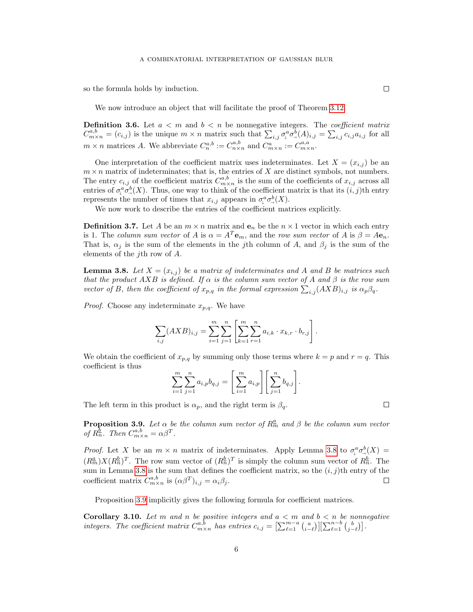so the formula holds by induction.

We now introduce an object that will facilitate the proof of Theorem [3.12.](#page-6-0)

<span id="page-5-3"></span>**Definition 3.6.** Let  $a < m$  and  $b < n$  be nonnegative integers. The *coefficient matrix*  $C^{a,b}_{m \times n} = (c_{i,j})$  is the unique  $m \times n$  matrix such that  $\sum_{i,j} \sigma^a_i \sigma^b_j (A)_{i,j} = \sum_{i,j} c_{i,j} a_{i,j}$  for all  $m \times n$  matrices A. We abbreviate  $C_n^{a,b} := C_{n \times n}^{a,b}$  and  $C_{m \times n}^a := C_{m \times n}^{a,a}$ .

One interpretation of the coefficient matrix uses indeterminates. Let  $X = (x_{i,j})$  be an  $m \times n$  matrix of indeterminates; that is, the entries of X are distinct symbols, not numbers. The entry  $c_{i,j}$  of the coefficient matrix  $C^{a,b}_{m \times n}$  is the sum of the coefficients of  $x_{i,j}$  across all entries of  $\sigma_\downarrow^a \sigma_\uparrow^b(X)$ . Thus, one way to think of the coefficient matrix is that its  $(i, j)$ th entry represents the number of times that  $x_{i,j}$  appears in  $\sigma_{\varphi}^{\alpha} \sigma_{\varphi}^{\beta}(X)$ .

We now work to describe the entries of the coefficient matrices explicitly.

**Definition 3.7.** Let A be an  $m \times n$  matrix and  $e_n$  be the  $n \times 1$  vector in which each entry is 1. The column sum vector of A is  $\alpha = A^T \mathbf{e}_m$ , and the row sum vector of A is  $\beta = A \mathbf{e}_n$ . That is,  $\alpha_j$  is the sum of the elements in the jth column of A, and  $\beta_j$  is the sum of the elements of the jth row of A.

<span id="page-5-0"></span>**Lemma 3.8.** Let  $X = (x_{i,j})$  be a matrix of indeterminates and A and B be matrices such that the product  $AXB$  is defined. If  $\alpha$  is the column sum vector of A and  $\beta$  is the row sum vector of B, then the coefficient of  $x_{p,q}$  in the formal expression  $\sum_{i,j} (AXB)_{i,j}$  is  $\alpha_p\beta_q$ .

*Proof.* Choose any indeterminate  $x_{p,q}$ . We have

$$
\sum_{i,j} (AXB)_{i,j} = \sum_{i=1}^m \sum_{j=1}^n \left[ \sum_{k=1}^m \sum_{r=1}^n a_{i,k} \cdot x_{k,r} \cdot b_{r,j} \right].
$$

We obtain the coefficient of  $x_{p,q}$  by summing only those terms where  $k = p$  and  $r = q$ . This coefficient is thus

$$
\sum_{i=1}^{m} \sum_{j=1}^{n} a_{i,p} b_{q,j} = \left[ \sum_{i=1}^{m} a_{i,p} \right] \left[ \sum_{j=1}^{n} b_{q,j} \right].
$$

The left term in this product is  $\alpha_p$ , and the right term is  $\beta_q$ .

<span id="page-5-1"></span>**Proposition 3.9.** Let  $\alpha$  be the column sum vector of  $R_m^a$  and  $\beta$  be the column sum vector of  $R_n^{\underline{b}}$ . Then  $C_{m \times n}^{a,b} = \alpha \beta^T$ .

*Proof.* Let X be an  $m \times n$  matrix of indeterminates. Apply Lemma [3.8](#page-5-0) to  $\sigma_\downarrow^a \sigma_\rightarrow^b(X)$  =  $(R_m^a)X(R_n^b)^T$ . The row sum vector of  $(R_n^b)^T$  is simply the column sum vector of  $R_n^b$ . The sum in Lemma [3.8](#page-5-0) is the sum that defines the coefficient matrix, so the  $(i, j)$ th entry of the coefficient matrix  $C_{m \times n}^{a,b}$  is  $(\alpha \beta^T)_{i,j} = \alpha_i \beta_j$ .  $\Box$ 

Proposition [3.9](#page-5-1) implicitly gives the following formula for coefficient matrices.

<span id="page-5-2"></span>**Corollary 3.10.** Let m and n be positive integers and  $a < m$  and  $b < n$  be nonnegative integers. The coefficient matrix  $C^{a,b}_{m \times n}$  has entries  $c_{i,j} = \left[\sum_{\ell=1}^{m-a} {a \choose i-\ell}\right] \left[\sum_{\ell=1}^{n-b} {b \choose j-\ell}\right]$ .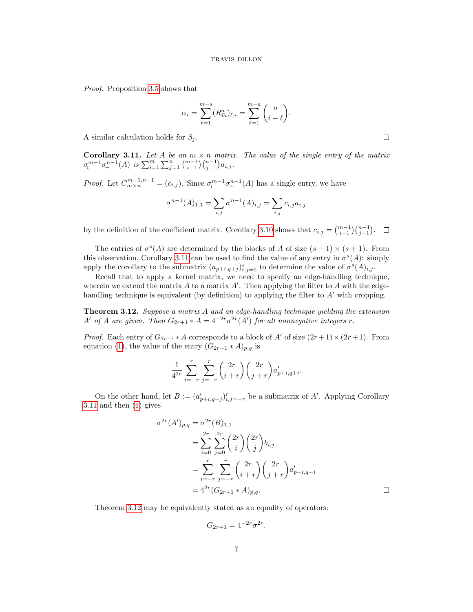Proof. Proposition [3.5](#page-4-0) shows that

$$
\alpha_i = \sum_{\ell=1}^{m-s} (R_m^{\underline{a}})_{\ell,i} = \sum_{\ell=1}^{m-a} \binom{a}{i-\ell}.
$$

A similar calculation holds for  $\beta_i$ .

<span id="page-6-1"></span>**Corollary 3.11.** Let A be an  $m \times n$  matrix. The value of the single entry of the matrix  $\sigma^{m-1}_{\downarrow}\sigma^{n-1}_{\rightarrow}(A)$  is  $\sum_{i=1}^m\sum_{j=1}^n\binom{m-1}{i-1}\binom{n-1}{j-1}a_{i,j}$ .

*Proof.* Let  $C_{m \times n}^{m-1,n-1} = (c_{i,j})$ . Since  $\sigma_{\downarrow}^{m-1} \sigma_{\rightarrow}^{n-1}(A)$  has a single entry, we have

$$
\sigma^{n-1}(A)_{1,1} = \sum_{i,j} \sigma^{n-1}(A)_{i,j} = \sum_{i,j} c_{i,j} a_{i,j}
$$

by the definition of the coefficient matrix. Corollary [3.10](#page-5-2) shows that  $c_{i,j} = \binom{m-1}{i-1} \binom{n-1}{j-1}$ .

The entries of  $\sigma^{s}(A)$  are determined by the blocks of A of size  $(s+1) \times (s+1)$ . From this observation, Corollary [3.11](#page-6-1) can be used to find the value of any entry in  $\sigma^s(A)$ : simply apply the corollary to the submatrix  $(a_{p+i,q+j})_{i,j=0}^s$  to determine the value of  $\sigma^s(A)_{i,j}$ .

Recall that to apply a kernel matrix, we need to specify an edge-handling technique, wherein we extend the matrix  $A$  to a matrix  $A'$ . Then applying the filter to  $A$  with the edgehandling technique is equivalent (by definition) to applying the filter to  $A'$  with cropping.

<span id="page-6-0"></span>Theorem 3.12. Suppose a matrix A and an edge-handling technique yielding the extension A' of A are given. Then  $G_{2r+1} * A = 4^{-2r} \sigma^{2r}(A')$  for all nonnegative integers r.

*Proof.* Each entry of  $G_{2r+1} * A$  corresponds to a block of A' of size  $(2r+1) \times (2r+1)$ . From equation [\(1\)](#page-2-0), the value of the entry  $(G_{2r+1} * A)_{p,q}$  is

$$
\frac{1}{4^{2r}}\sum_{i=-r}^{r}\sum_{j=-r}^{r} {2r \choose i+r} {2r \choose j+r} a'_{p+i,q+i}.
$$

On the other hand, let  $B := (a'_{p+i,q+j})_{i,j=-r}^r$  be a submatrix of A'. Applying Corollary [3.11](#page-6-1) and then [\(1\)](#page-2-0) gives

$$
\sigma^{2r}(A')_{p,q} = \sigma^{2r}(B)_{1,1}
$$
  
= 
$$
\sum_{i=0}^{2r} \sum_{j=0}^{2r} {2r \choose i} {2r \choose j} b_{i,j}
$$
  
= 
$$
\sum_{i=-r}^{r} \sum_{j=-r}^{r} {2r \choose i+r} {2r \choose j+r} a'_{p+i,q+i}
$$
  
= 
$$
4^{2r}(G_{2r+1} * A)_{p,q}.
$$

Theorem [3.12](#page-6-0) may be equivalently stated as an equality of operators:

$$
G_{2r+1} = 4^{-2r} \sigma^{2r}.
$$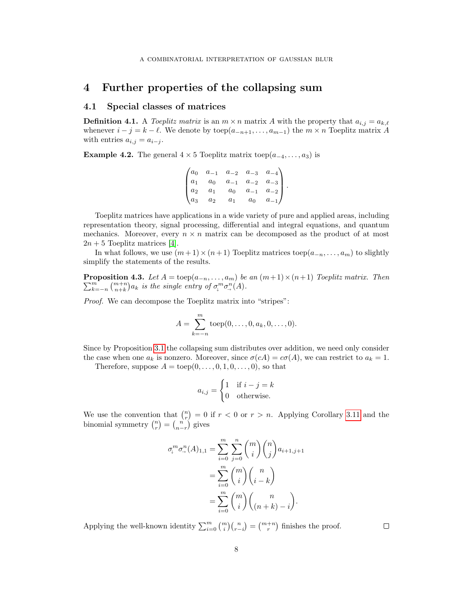## 4 Further properties of the collapsing sum

## 4.1 Special classes of matrices

**Definition 4.1.** A Toeplitz matrix is an  $m \times n$  matrix A with the property that  $a_{i,j} = a_{k,\ell}$ whenever  $i - j = k - \ell$ . We denote by toep $(a_{-n+1}, \ldots, a_{m-1})$  the  $m \times n$  Toeplitz matrix A with entries  $a_{i,j} = a_{i-j}$ .

**Example 4.2.** The general  $4 \times 5$  Toeplitz matrix toep $(a_{-4}, \ldots, a_3)$  is

$$
\begin{pmatrix} a_0 & a_{-1} & a_{-2} & a_{-3} & a_{-4} \ a_1 & a_0 & a_{-1} & a_{-2} & a_{-3} \ a_2 & a_1 & a_0 & a_{-1} & a_{-2} \ a_3 & a_2 & a_1 & a_0 & a_{-1} \end{pmatrix}.
$$

Toeplitz matrices have applications in a wide variety of pure and applied areas, including representation theory, signal processing, differential and integral equations, and quantum mechanics. Moreover, every  $n \times n$  matrix can be decomposed as the product of at most  $2n + 5$  Toeplitz matrices [\[4\]](#page-10-3).

In what follows, we use  $(m+1)\times(n+1)$  Toeplitz matrices toep $(a_{-n},\ldots,a_m)$  to slightly simplify the statements of the results.

<span id="page-7-0"></span>**Proposition 4.3.** Let  $A = \text{toep}(a_{-n}, \ldots, a_m)$  be an  $(m+1) \times (n+1)$  Toeplitz matrix. Then  $\sum_{k=-n}^{m} \binom{m+n}{n+k} a_k$  is the single entry of  $\sigma_i^m \sigma_{\gamma}^n(A)$ .

Proof. We can decompose the Toeplitz matrix into "stripes":

$$
A = \sum_{k=-n}^{m} \text{toep}(0, \dots, 0, a_k, 0, \dots, 0).
$$

Since by Proposition [3.1](#page-3-0) the collapsing sum distributes over addition, we need only consider the case when one  $a_k$  is nonzero. Moreover, since  $\sigma(cA) = c\sigma(A)$ , we can restrict to  $a_k = 1$ .

Therefore, suppose  $A = \text{toep}(0, \ldots, 0, 1, 0, \ldots, 0)$ , so that

$$
a_{i,j} = \begin{cases} 1 & \text{if } i - j = k \\ 0 & \text{otherwise.} \end{cases}
$$

We use the convention that  $\binom{n}{r} = 0$  if  $r < 0$  or  $r > n$ . Applying Corollary [3.11](#page-6-1) and the binomial symmetry  $\binom{n}{r} = \binom{n}{n-r}$  gives

$$
\sigma_\downarrow^m \sigma_\to^n(A)_{1,1} = \sum_{i=0}^m \sum_{j=0}^n \binom{m}{i} \binom{n}{j} a_{i+1,j+1}
$$

$$
= \sum_{i=0}^m \binom{m}{i} \binom{n}{i-k}
$$

$$
= \sum_{i=0}^m \binom{m}{i} \binom{n}{(n+k)-i}.
$$

Applying the well-known identity  $\sum_{i=0}^{m} \binom{m}{i} \binom{n}{r-i} = \binom{m+n}{r}$  finishes the proof.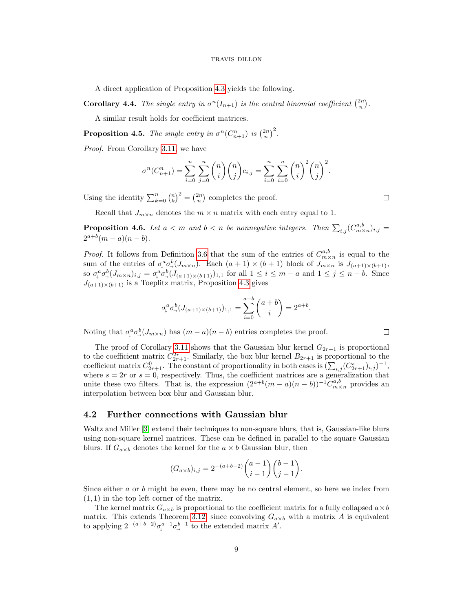A direct application of Proposition [4.3](#page-7-0) yields the following.

**Corollary 4.4.** The single entry in  $\sigma^{n}(I_{n+1})$  is the central binomial coefficient  $\binom{2n}{n}$ .

A similar result holds for coefficient matrices.

**Proposition 4.5.** The single entry in  $\sigma^n(C_{n+1}^n)$  is  $\binom{2n}{n}^2$ .

Proof. From Corollary [3.11,](#page-6-1) we have

$$
\sigma^{n}(C_{n+1}^{n}) = \sum_{i=0}^{n} \sum_{j=0}^{n} {n \choose i} {n \choose j} c_{i,j} = \sum_{i=0}^{n} \sum_{i=0}^{n} {n \choose i}^{2} {n \choose j}^{2}.
$$

Using the identity  $\sum_{k=0}^{n} {n \choose k}^2 = {2n \choose n}$  completes the proof.

Recall that  $J_{m \times n}$  denotes the  $m \times n$  matrix with each entry equal to 1.

**Proposition 4.6.** Let  $a < m$  and  $b < n$  be nonnegative integers. Then  $\sum_{i,j}(C^{a,b}_{m \times n})_{i,j} =$  $2^{a+b}(m-a)(n-b).$ 

*Proof.* It follows from Definition [3.6](#page-5-3) that the sum of the entries of  $C^{a,b}_{m \times n}$  is equal to the sum of the entries of  $\sigma_{\varphi}^a \sigma_{\varphi}^b (J_{m \times n})$ . Each  $(a + 1) \times (b + 1)$  block of  $J_{m \times n}$  is  $J_{(a+1) \times (b+1)}$ , so  $\sigma_{\downarrow}^a \sigma_{\rightarrow}^b (J_{m \times n})_{i,j} = \sigma_{\downarrow}^a \sigma_{\rightarrow}^b (J_{(a+1) \times (b+1)})_{1,1}$  for all  $1 \leq i \leq m - a$  and  $1 \leq j \leq n - b$ . Since  $J_{(a+1)\times(b+1)}$  is a Toeplitz matrix, Proposition [4.3](#page-7-0) gives

$$
\sigma_{\downarrow}^{a} \sigma_{\to}^{b} (J_{(a+1)\times (b+1)})_{1,1} = \sum_{i=0}^{a+b} \binom{a+b}{i} = 2^{a+b}.
$$

Noting that  $\sigma_{\varphi}^a \sigma_{\varphi}^b (J_{m \times n})$  has  $(m - a)(n - b)$  entries completes the proof.

The proof of Corollary [3.11](#page-6-1) shows that the Gaussian blur kernel  $G_{2r+1}$  is proportional to the coefficient matrix  $C_{2r+1}^{2r}$ . Similarly, the box blur kernel  $B_{2r+1}$  is proportional to the coefficient matrix  $C_{2r+1}^0$ . The constant of proportionality in both cases is  $(\sum_{i,j} (C_{2r+1}^s)_{i,j})^{-1}$ , where  $s = 2r$  or  $s = 0$ , respectively. Thus, the coefficient matrices are a generalization that unite these two filters. That is, the expression  $(2^{a+b}(m-a)(n-b))^{-1}C^{a,b}_{m\times n}$  provides an interpolation between box blur and Gaussian blur.

### 4.2 Further connections with Gaussian blur

Waltz and Miller [\[3\]](#page-10-2) extend their techniques to non-square blurs, that is, Gaussian-like blurs using non-square kernel matrices. These can be defined in parallel to the square Gaussian blurs. If  $G_{a\times b}$  denotes the kernel for the  $a \times b$  Gaussian blur, then

$$
(G_{a \times b})_{i,j} = 2^{-(a+b-2)} \binom{a-1}{i-1} \binom{b-1}{j-1}.
$$

Since either  $a$  or  $b$  might be even, there may be no central element, so here we index from (1, 1) in the top left corner of the matrix.

The kernel matrix  $G_{a\times b}$  is proportional to the coefficient matrix for a fully collapsed  $a\times b$ matrix. This extends Theorem [3.12,](#page-6-0) since convolving  $G_{a\times b}$  with a matrix A is equivalent to applying  $2^{-(a+b-2)}\sigma_{\downarrow}^{a-1}\sigma_{\rightarrow}^{b-1}$  to the extended matrix A'.

 $\Box$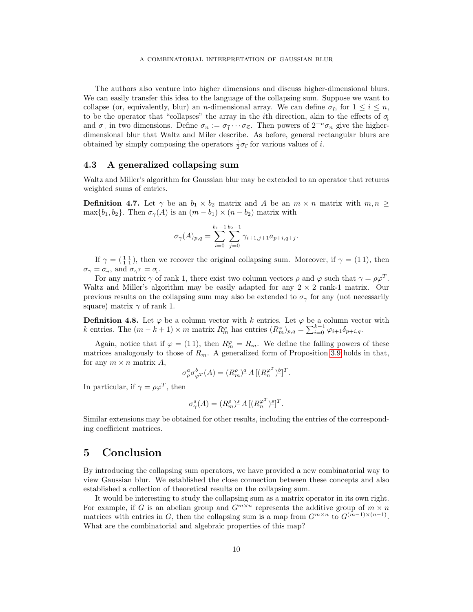The authors also venture into higher dimensions and discuss higher-dimensional blurs. We can easily transfer this idea to the language of the collapsing sum. Suppose we want to collapse (or, equivalently, blur) an n-dimensional array. We can define  $\sigma_{\vec{r}}$ , for  $1 \leq i \leq n$ , to be the operator that "collapses" the array in the *i*th direction, akin to the effects of  $\sigma_i$ and  $\sigma_{\to}$  in two dimensions. Define  $\sigma_n := \sigma_{\vec{1}} \cdots \sigma_{\vec{n}}$ . Then powers of  $2^{-n} \sigma_n$  give the higherdimensional blur that Waltz and Miler describe. As before, general rectangular blurs are obtained by simply composing the operators  $\frac{1}{2}\sigma_{\vec{i}}$  for various values of *i*.

### 4.3 A generalized collapsing sum

Waltz and Miller's algorithm for Gaussian blur may be extended to an operator that returns weighted sums of entries.

**Definition 4.7.** Let  $\gamma$  be an  $b_1 \times b_2$  matrix and A be an  $m \times n$  matrix with  $m, n \geq$ max $\{b_1, b_2\}$ . Then  $\sigma_{\gamma}(A)$  is an  $(m - b_1) \times (n - b_2)$  matrix with

$$
\sigma_{\gamma}(A)_{p,q} = \sum_{i=0}^{b_1-1} \sum_{j=0}^{b_2-1} \gamma_{i+1,j+1} a_{p+i,q+j}.
$$

If  $\gamma = \begin{pmatrix} 1 & 1 \\ 1 & 1 \end{pmatrix}$ , then we recover the original collapsing sum. Moreover, if  $\gamma = (1\,1)$ , then  $\sigma_{\gamma} = \sigma_{\rightarrow}$ , and  $\sigma_{\gamma} r = \sigma_{\downarrow}$ .

For any matrix  $\gamma$  of rank 1, there exist two column vectors  $\rho$  and  $\varphi$  such that  $\gamma = \rho \varphi^T$ . Waltz and Miller's algorithm may be easily adapted for any  $2 \times 2$  rank-1 matrix. Our previous results on the collapsing sum may also be extended to  $\sigma_{\gamma}$  for any (not necessarily square) matrix  $\gamma$  of rank 1.

**Definition 4.8.** Let  $\varphi$  be a column vector with k entries. Let  $\varphi$  be a column vector with k entries. The  $(m - k + 1) \times m$  matrix  $R_m^{\varphi}$  has entries  $(R_m^{\varphi})_{p,q} = \sum_{i=0}^{k-1} \varphi_{i+1} \delta_{p+i,q}$ .

Again, notice that if  $\varphi = (11)$ , then  $R_m^{\varphi} = R_m$ . We define the falling powers of these matrices analogously to those of  $R_m$ . A generalized form of Proposition [3.9](#page-5-1) holds in that, for any  $m \times n$  matrix A,

$$
\sigma_{\rho}^a \sigma_{\varphi^T}^b(A) = (R_m^{\rho})^{\underline{a}} A \, [(R_n^{\varphi^T})^{\underline{b}}]^T.
$$

In particular, if  $\gamma = \rho \varphi^T$ , then

$$
\sigma_{\gamma}^s(A) = (R_m^{\rho})^s A \left[ (R_n^{\varphi^T})^s \right]^T.
$$

Similar extensions may be obtained for other results, including the entries of the corresponding coefficient matrices.

## 5 Conclusion

By introducing the collapsing sum operators, we have provided a new combinatorial way to view Gaussian blur. We established the close connection between these concepts and also established a collection of theoretical results on the collapsing sum.

It would be interesting to study the collapsing sum as a matrix operator in its own right. For example, if G is an abelian group and  $G^{m\times n}$  represents the additive group of  $m\times n$ matrices with entries in G, then the collapsing sum is a map from  $G^{m \times n}$  to  $G^{(m-1)\times (n-1)}$ . What are the combinatorial and algebraic properties of this map?